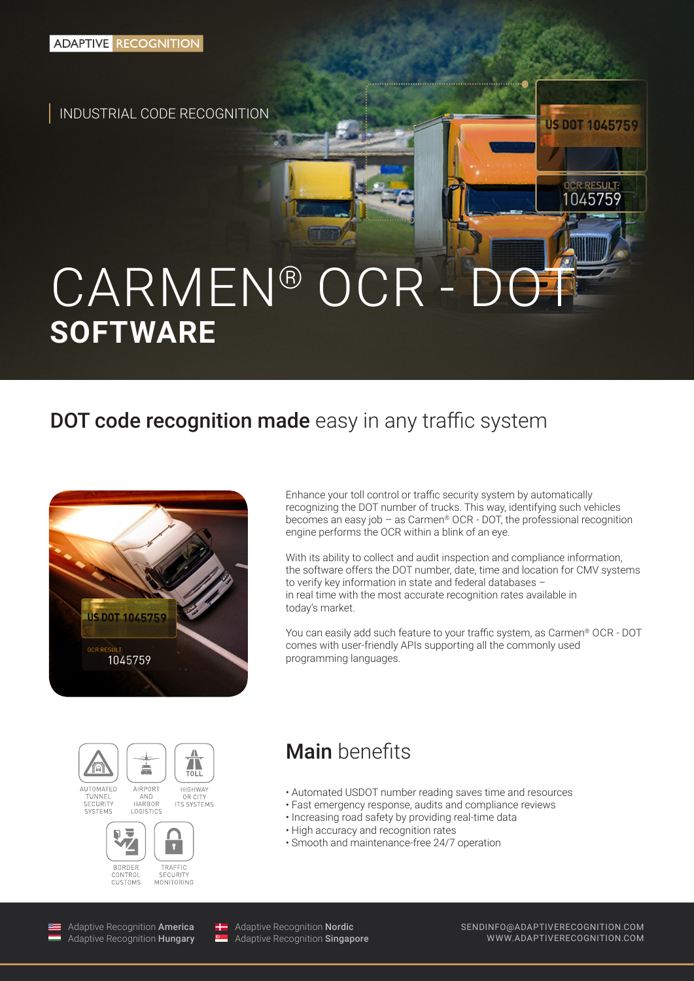INDUSTRIAL CODE RECOGNITION

# CARMEN® OCR - DOT **SOFTWARE**

## DOT code recognition made easy in any traffic system



Enhance your toll control or traffic security system by automatically recognizing the DOT number of trucks. This way, identifying such vehicles becomes an easy job – as Carmen<sup>®</sup> OCR - DOT, the professional recognition engine performs the OCR within a blink of an eye.

With its ability to collect and audit inspection and compliance information, the software offers the DOT number, date, time and location for CMV systems to verify key information in state and federal databases – in real time with the most accurate recognition rates available in today's market.

You can easily add such feature to your traffic system, as Carmen® OCR - DOT comes with user-friendly APIs supporting all the commonly used programming languages.







Main benefits

- Automated USDOT number reading saves time and resources
- Fast emergency response, audits and compliance reviews
- Increasing road safety by providing real-time data
- High accuracy and recognition rates
- Smooth and maintenance-free 24/7 operation

Adaptive Recognition America Adaptive Recognition Hungary

Adaptive Recognition Nordic Adaptive Recognition **Singapore**  SENDINFO@ADAPTIVERECOGNITION.COM WWW.ADAPTIVERECOGNITION.COM

**US DOT 1045759** 

OCR RESULT 1045759